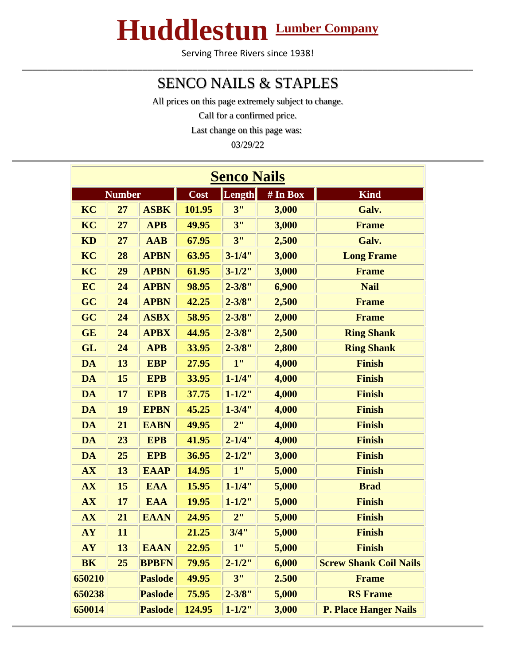## **Huddlestun Lumber Company**

Serving Three Rivers since 1938! \_\_\_\_\_\_\_\_\_\_\_\_\_\_\_\_\_\_\_\_\_\_\_\_\_\_\_\_\_\_\_\_\_\_\_\_\_\_\_\_\_\_\_\_\_\_\_\_\_\_\_\_\_\_\_\_\_\_\_\_\_\_\_\_\_\_\_\_\_\_\_\_\_\_\_\_\_\_\_\_\_\_\_\_\_\_\_\_\_\_

## SENCO NAILS & STAPLES

All prices on this page extremely subject to change.

Call for a confirmed price.

Last change on this page was:

03/29/22

| <b>Senco Nails</b> |               |                |        |             |          |                               |  |  |  |  |
|--------------------|---------------|----------------|--------|-------------|----------|-------------------------------|--|--|--|--|
|                    | <b>Number</b> |                | Cost   | Length      | # In Box | <b>Kind</b>                   |  |  |  |  |
| KC                 | 27            | <b>ASBK</b>    | 101.95 | 3"          | 3,000    | Galv.                         |  |  |  |  |
| KC                 | 27            | <b>APB</b>     | 49.95  | 3"          | 3,000    | <b>Frame</b>                  |  |  |  |  |
| <b>KD</b>          | 27            | <b>AAB</b>     | 67.95  | 3"          | 2,500    | Galv.                         |  |  |  |  |
| KC                 | 28            | <b>APBN</b>    | 63.95  | $3 - 1/4"$  | 3,000    | <b>Long Frame</b>             |  |  |  |  |
| KC                 | 29            | <b>APBN</b>    | 61.95  | $3 - 1/2$ " | 3,000    | <b>Frame</b>                  |  |  |  |  |
| EC                 | 24            | <b>APBN</b>    | 98.95  | $2 - 3/8"$  | 6,900    | <b>Nail</b>                   |  |  |  |  |
| GC                 | 24            | <b>APBN</b>    | 42.25  | $2 - 3/8"$  | 2,500    | <b>Frame</b>                  |  |  |  |  |
| GC                 | 24            | <b>ASBX</b>    | 58.95  | $2 - 3/8"$  | 2,000    | <b>Frame</b>                  |  |  |  |  |
| <b>GE</b>          | 24            | <b>APBX</b>    | 44.95  | $2 - 3/8"$  | 2,500    | <b>Ring Shank</b>             |  |  |  |  |
| <b>GL</b>          | 24            | <b>APB</b>     | 33.95  | $2 - 3/8"$  | 2,800    | <b>Ring Shank</b>             |  |  |  |  |
| <b>DA</b>          | 13            | <b>EBP</b>     | 27.95  | 1"          | 4,000    | <b>Finish</b>                 |  |  |  |  |
| <b>DA</b>          | 15            | <b>EPB</b>     | 33.95  | $1 - 1/4$ " | 4,000    | <b>Finish</b>                 |  |  |  |  |
| <b>DA</b>          | 17            | <b>EPB</b>     | 37.75  | $1 - 1/2$ " | 4,000    | <b>Finish</b>                 |  |  |  |  |
| <b>DA</b>          | 19            | <b>EPBN</b>    | 45.25  | $1 - 3/4"$  | 4,000    | <b>Finish</b>                 |  |  |  |  |
| <b>DA</b>          | 21            | <b>EABN</b>    | 49.95  | 2"          | 4,000    | <b>Finish</b>                 |  |  |  |  |
| <b>DA</b>          | 23            | <b>EPB</b>     | 41.95  | $2 - 1/4"$  | 4,000    | <b>Finish</b>                 |  |  |  |  |
| <b>DA</b>          | 25            | <b>EPB</b>     | 36.95  | $2 - 1/2"$  | 3,000    | <b>Finish</b>                 |  |  |  |  |
| <b>AX</b>          | 13            | <b>EAAP</b>    | 14.95  | 1"          | 5,000    | <b>Finish</b>                 |  |  |  |  |
| <b>AX</b>          | 15            | <b>EAA</b>     | 15.95  | $1 - 1/4"$  | 5,000    | <b>Brad</b>                   |  |  |  |  |
| <b>AX</b>          | 17            | <b>EAA</b>     | 19.95  | $1 - 1/2$ " | 5,000    | <b>Finish</b>                 |  |  |  |  |
| AX                 | 21            | <b>EAAN</b>    | 24.95  | 2"          | 5,000    | <b>Finish</b>                 |  |  |  |  |
| <b>AY</b>          | 11            |                | 21.25  | 3/4"        | 5,000    | <b>Finish</b>                 |  |  |  |  |
| <b>AY</b>          | 13            | <b>EAAN</b>    | 22.95  | 1"          | 5,000    | <b>Finish</b>                 |  |  |  |  |
| <b>BK</b>          | 25            | <b>BPBFN</b>   | 79.95  | $2 - 1/2"$  | 6,000    | <b>Screw Shank Coil Nails</b> |  |  |  |  |
| 650210             |               | <b>Paslode</b> | 49.95  | 3"          | 2.500    | <b>Frame</b>                  |  |  |  |  |
| 650238             |               | <b>Paslode</b> | 75.95  | $2 - 3/8"$  | 5,000    | <b>RS</b> Frame               |  |  |  |  |
| 650014             |               | <b>Paslode</b> | 124.95 | $1 - 1/2"$  | 3,000    | <b>P. Place Hanger Nails</b>  |  |  |  |  |